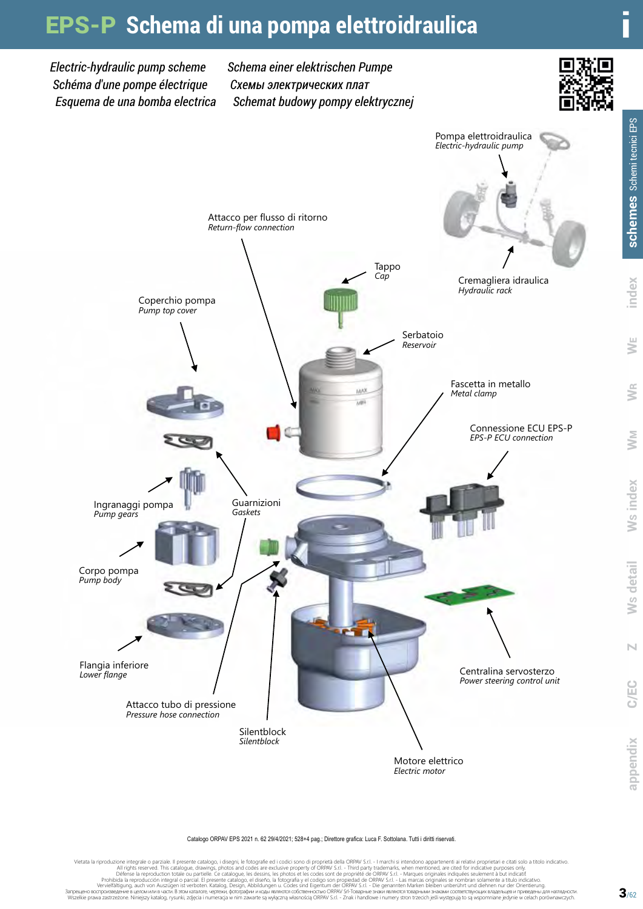# EPS-P **Schema di una pompa elettroidraulica**

*Electric-hydraulic pump scheme Schéma d'une pompe électrique Esquema de una bomba electrica* *Schema einer elektrischen Pumpe Cхемы электрических плат Schemat budowy pompy elektrycznej*





Catalogo ORPAV EPS 2021 n. 62 29/4/2021; 528+4 pag.; Direttore grafica: Luca F. Sottolana. Tutti i diritti riservati.

Vietata la riproduzione integrale. Il presente catalogo, idispini, le fotografie ed i codici some plane and product integrale and reduced to make in the particle intervent that intervent in irelativi property of DRAV Sr.I.

S **detail** W

**Ms** detail

S **index** W

Ws index

WM WR

R WE **index schemes** Schemi tecnici EPS

index

ŠΕ

schemes Schemi tecnici EPS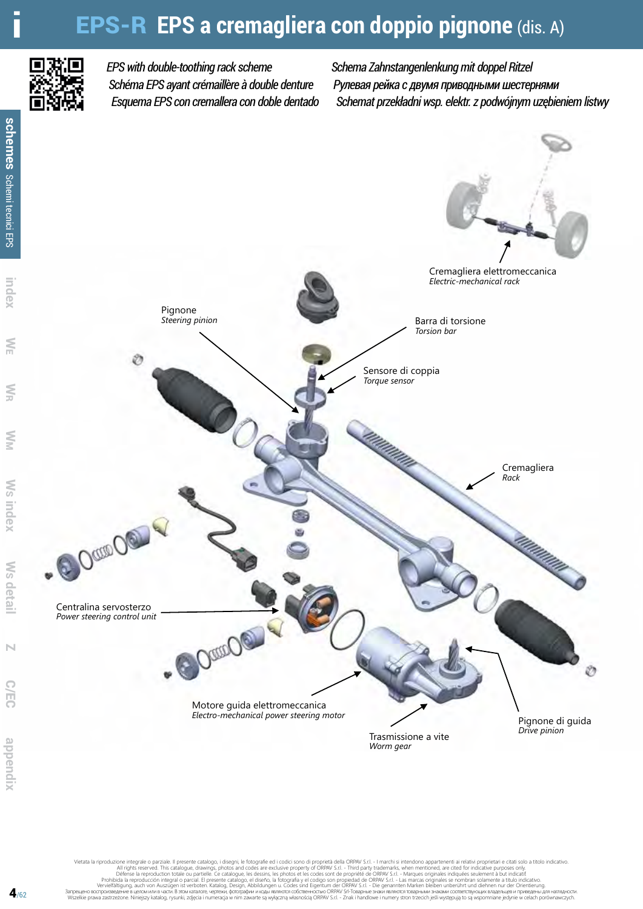# **EPS-R EPS a cremagliera con doppio pignone** (dis. A)



### *EPS with double-toothing rack scheme Schéma EPS ayant crémaillère à double denture Esquema EPS con cremallera con doble dentado*

*Schema Zahnstangenlenkung mit doppel Ritzel Рулевая рейка с двумя приводными шестернями Schemat przekładni wsp. elektr. z podwójnym uzębieniem listwy*



Vietata la riproduzione integrale o parziale. Il presente catalogo, i disegni, le fotográfie del codici sono a All rights reserved. This catalogue, drawings, photos and codes are exclusive property of ORPAV S.r.l. - Tharch

**Index**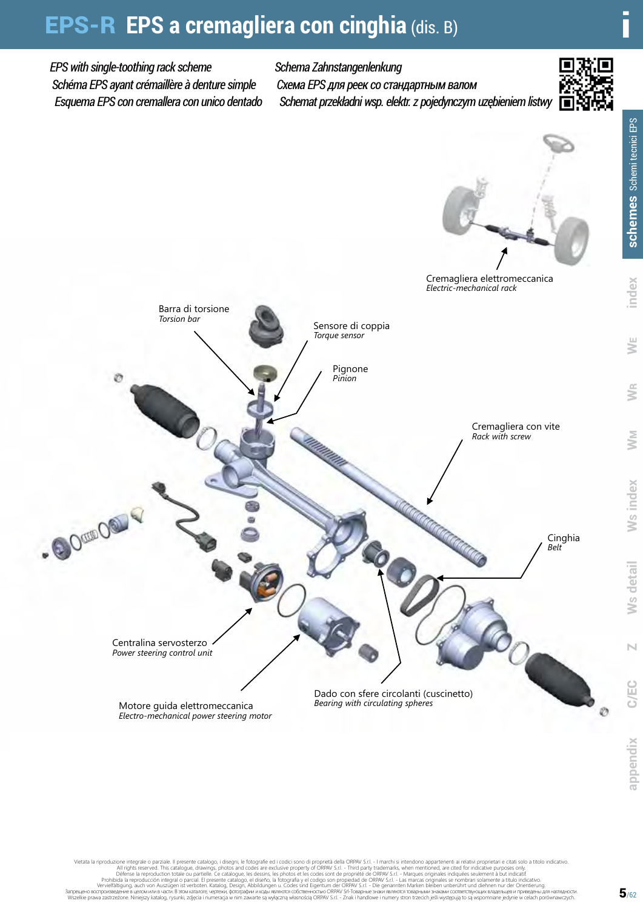# EPS-R **EPS a cremagliera con cinghia** (dis. B) i

#### *EPS with single-toothing rack scheme Schéma EPS ayant crémaillère à denture simple Esquema EPS con cremallera con unico dentado Schema Zahnstangenlenkung Cхема EPS для реек со стандартным валом Schemat przekładni wsp. elektr. z pojedynczym uzębieniem listwy*

Pignone *Pinion*

Sensore di coppia *Torque sensor*





Cremagliera con vite *Rack with screw*

*Electric-mechanical rack*

Cinghia *Belt*



Ø

Vietata la riproduzione integrale. Il presente catalogo, idispini, le fotografie ed i codici some plane and product integrale and reduce the catalogue, drawings, photos and codes are exclusive property of ORPAV S.r.L. Thir

Dado con sfere circolanti (cuscinetto)

*Bearing with circulating spheres*

Motore guida elettromeccanica *Electro-mechanical power steering motor*

Centralina servosterzo *Power steering control unit*

.OO OUTOOOU

Barra di torsione *Torsion bar*

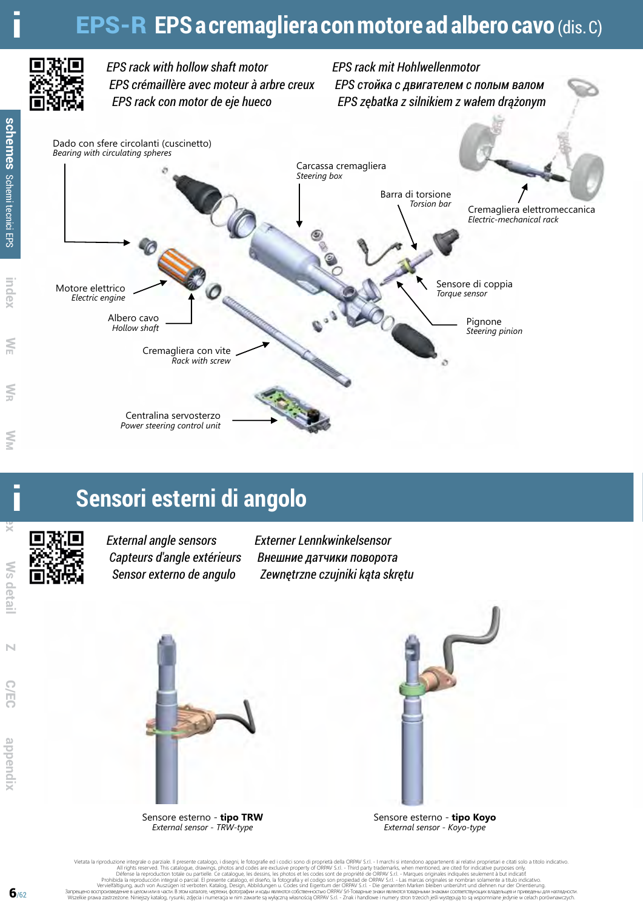## i EPS-R **EPS a cremagliera con motore ad albero cavo** (dis. C)



*EPS rack with hollow shaft motor EPS crémaillère avec moteur à arbre creux EPS rack con motor de eje hueco*

*EPS rack mit Hohlwellenmotor EPS стойка с двигателем с полым валом EPS zębatka z silnikiem z wałem drążonym*



### i **Sensori esterni di angolo**



*External angle sensors Capteurs d'angle extérieurs Sensor externo de angulo*

*Externer Lennkwinkelsensor Внешние датчики поворота Zewnętrzne czujniki kąta skrętu*



Sensore esterno - **tipo TRW** *External sensor - TRW-type*



Sensore esterno - **tipo Koyo** *External sensor - Koyo-type*

Vietata la riproduzione integrale o parziale. Il presente catalogo, i disegni, le fotográfie del codici sono a All rights reserved. This catalogue, drawings, photos and codes are exclusive property of ORPAV S.r.l. - Tharch

 $\overline{a}$ 

 **index**

W S **detail**

Z C/EC

声

N

 **appendix**

dpuendry